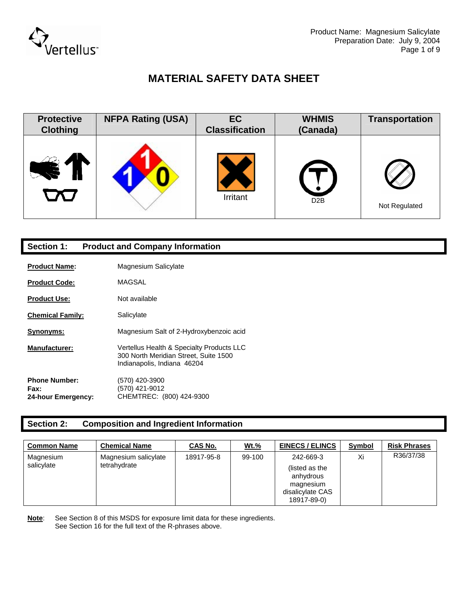

| <b>Protective</b><br><b>Clothing</b> | <b>NFPA Rating (USA)</b> | <b>EC</b><br><b>Classification</b> | <b>WHMIS</b><br>(Canada) | <b>Transportation</b> |
|--------------------------------------|--------------------------|------------------------------------|--------------------------|-----------------------|
|                                      |                          | Irritant                           | D <sub>2</sub> B         | Not Regulated         |

### **Section 1: Product and Company Information**

| <b>Product Name:</b>                               | Magnesium Salicylate                                                                                              |
|----------------------------------------------------|-------------------------------------------------------------------------------------------------------------------|
| <b>Product Code:</b>                               | MAGSAL                                                                                                            |
| <b>Product Use:</b>                                | Not available                                                                                                     |
| <b>Chemical Family:</b>                            | Salicylate                                                                                                        |
| <b>Synonyms:</b>                                   | Magnesium Salt of 2-Hydroxybenzoic acid                                                                           |
| <b>Manufacturer:</b>                               | Vertellus Health & Specialty Products LLC<br>300 North Meridian Street, Suite 1500<br>Indianapolis, Indiana 46204 |
| <b>Phone Number:</b><br>Fax:<br>24-hour Emergency: | (570) 420-3900<br>(570) 421-9012<br>CHEMTREC: (800) 424-9300                                                      |

### **Section 2: Composition and Ingredient Information**

| <b>Common Name</b>      | <b>Chemical Name</b>                 | CAS No.    | <b>Wt.%</b> | <b>EINECS / ELINCS</b>                                                                   | <b>Symbol</b> | <b>Risk Phrases</b> |
|-------------------------|--------------------------------------|------------|-------------|------------------------------------------------------------------------------------------|---------------|---------------------|
| Magnesium<br>salicylate | Magnesium salicylate<br>tetrahydrate | 18917-95-8 | 99-100      | 242-669-3<br>(listed as the<br>anhydrous<br>magnesium<br>disalicylate CAS<br>18917-89-0) | Xi            | R36/37/38           |

**Note**: See Section 8 of this MSDS for exposure limit data for these ingredients. See Section 16 for the full text of the R-phrases above.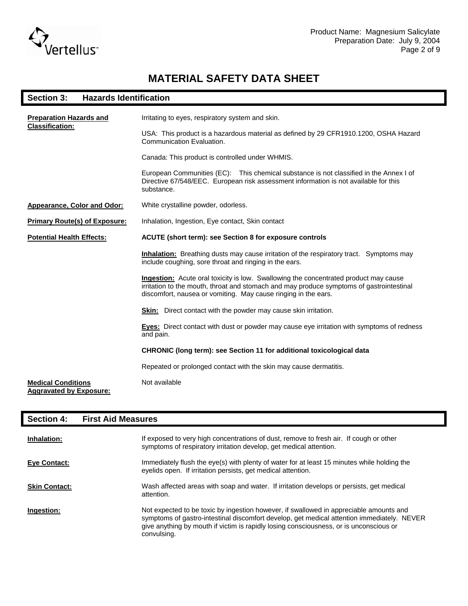

# **MATERIAL SAFETY DATA SHEET**

| <b>Section 3:</b><br><b>Hazards Identification</b>          |                                                                                                                                                                                                                                                           |  |  |  |
|-------------------------------------------------------------|-----------------------------------------------------------------------------------------------------------------------------------------------------------------------------------------------------------------------------------------------------------|--|--|--|
| <b>Preparation Hazards and</b>                              | Irritating to eyes, respiratory system and skin.                                                                                                                                                                                                          |  |  |  |
| <b>Classification:</b>                                      | USA: This product is a hazardous material as defined by 29 CFR1910.1200, OSHA Hazard<br>Communication Evaluation.                                                                                                                                         |  |  |  |
|                                                             | Canada: This product is controlled under WHMIS.                                                                                                                                                                                                           |  |  |  |
|                                                             | European Communities (EC): This chemical substance is not classified in the Annex I of<br>Directive 67/548/EEC. European risk assessment information is not available for this<br>substance.                                                              |  |  |  |
| <b>Appearance, Color and Odor:</b>                          | White crystalline powder, odorless.                                                                                                                                                                                                                       |  |  |  |
| <b>Primary Route(s) of Exposure:</b>                        | Inhalation, Ingestion, Eye contact, Skin contact                                                                                                                                                                                                          |  |  |  |
| <b>Potential Health Effects:</b>                            | <b>ACUTE (short term): see Section 8 for exposure controls</b>                                                                                                                                                                                            |  |  |  |
|                                                             | <b>Inhalation:</b> Breathing dusts may cause irritation of the respiratory tract. Symptoms may<br>include coughing, sore throat and ringing in the ears.                                                                                                  |  |  |  |
|                                                             | <b>Ingestion:</b> Acute oral toxicity is low. Swallowing the concentrated product may cause<br>irritation to the mouth, throat and stomach and may produce symptoms of gastrointestinal<br>discomfort, nausea or vomiting. May cause ringing in the ears. |  |  |  |
|                                                             | <b>Skin:</b> Direct contact with the powder may cause skin irritation.                                                                                                                                                                                    |  |  |  |
|                                                             | <b>Eyes:</b> Direct contact with dust or powder may cause eye irritation with symptoms of redness<br>and pain.                                                                                                                                            |  |  |  |
|                                                             | CHRONIC (long term): see Section 11 for additional toxicological data                                                                                                                                                                                     |  |  |  |
|                                                             | Repeated or prolonged contact with the skin may cause dermatitis.                                                                                                                                                                                         |  |  |  |
| <b>Medical Conditions</b><br><b>Aggravated by Exposure:</b> | Not available                                                                                                                                                                                                                                             |  |  |  |

| <b>Section 4:</b>    | <b>First Aid Measures</b>                                                                                                                                                                                                                                                                     |
|----------------------|-----------------------------------------------------------------------------------------------------------------------------------------------------------------------------------------------------------------------------------------------------------------------------------------------|
| Inhalation:          | If exposed to very high concentrations of dust, remove to fresh air. If cough or other<br>symptoms of respiratory irritation develop, get medical attention.                                                                                                                                  |
| <b>Eve Contact:</b>  | Immediately flush the eye(s) with plenty of water for at least 15 minutes while holding the<br>eyelids open. If irritation persists, get medical attention.                                                                                                                                   |
| <b>Skin Contact:</b> | Wash affected areas with soap and water. If irritation develops or persists, get medical<br>attention.                                                                                                                                                                                        |
| Ingestion:           | Not expected to be toxic by ingestion however, if swallowed in appreciable amounts and<br>symptoms of gastro-intestinal discomfort develop, get medical attention immediately. NEVER<br>give anything by mouth if victim is rapidly losing consciousness, or is unconscious or<br>convulsing. |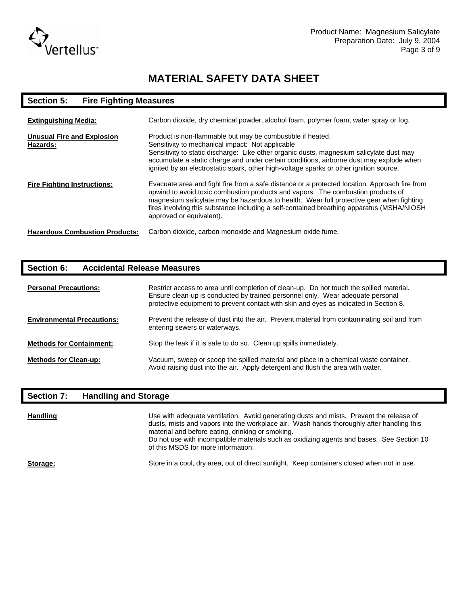

| <b>Section 5:</b><br><b>Fire Fighting Measures</b> |                                                                                                                                                                                                                                                                                                                                                                                                        |  |  |  |
|----------------------------------------------------|--------------------------------------------------------------------------------------------------------------------------------------------------------------------------------------------------------------------------------------------------------------------------------------------------------------------------------------------------------------------------------------------------------|--|--|--|
| <b>Extinguishing Media:</b>                        | Carbon dioxide, dry chemical powder, alcohol foam, polymer foam, water spray or fog.                                                                                                                                                                                                                                                                                                                   |  |  |  |
| Unusual Fire and Explosion<br>Hazards:             | Product is non-flammable but may be combustible if heated.<br>Sensitivity to mechanical impact: Not applicable<br>Sensitivity to static discharge: Like other organic dusts, magnesium salicylate dust may<br>accumulate a static charge and under certain conditions, airborne dust may explode when<br>ignited by an electrostatic spark, other high-voltage sparks or other ignition source.        |  |  |  |
| <b>Fire Fighting Instructions:</b>                 | Evacuate area and fight fire from a safe distance or a protected location. Approach fire from<br>upwind to avoid toxic combustion products and vapors. The combustion products of<br>magnesium salicylate may be hazardous to health. Wear full protective gear when fighting<br>fires involving this substance including a self-contained breathing apparatus (MSHA/NIOSH<br>approved or equivalent). |  |  |  |
| <b>Hazardous Combustion Products:</b>              | Carbon dioxide, carbon monoxide and Magnesium oxide fume.                                                                                                                                                                                                                                                                                                                                              |  |  |  |

### **Section 6: Accidental Release Measures**

| <b>Personal Precautions:</b>      | Restrict access to area until completion of clean-up. Do not touch the spilled material.<br>Ensure clean-up is conducted by trained personnel only. Wear adequate personal<br>protective equipment to prevent contact with skin and eyes as indicated in Section 8. |
|-----------------------------------|---------------------------------------------------------------------------------------------------------------------------------------------------------------------------------------------------------------------------------------------------------------------|
| <b>Environmental Precautions:</b> | Prevent the release of dust into the air. Prevent material from contaminating soil and from<br>entering sewers or waterways.                                                                                                                                        |
| <b>Methods for Containment:</b>   | Stop the leak if it is safe to do so. Clean up spills immediately.                                                                                                                                                                                                  |
| <b>Methods for Clean-up:</b>      | Vacuum, sweep or scoop the spilled material and place in a chemical waste container.<br>Avoid raising dust into the air. Apply detergent and flush the area with water.                                                                                             |

### **Section 7: Handling and Storage**

| <b>Handling</b> | Use with adequate ventilation. Avoid generating dusts and mists. Prevent the release of<br>dusts, mists and vapors into the workplace air. Wash hands thoroughly after handling this<br>material and before eating, drinking or smoking.<br>Do not use with incompatible materials such as oxidizing agents and bases. See Section 10<br>of this MSDS for more information. |
|-----------------|-----------------------------------------------------------------------------------------------------------------------------------------------------------------------------------------------------------------------------------------------------------------------------------------------------------------------------------------------------------------------------|
| Storage:        | Store in a cool, dry area, out of direct sunlight. Keep containers closed when not in use.                                                                                                                                                                                                                                                                                  |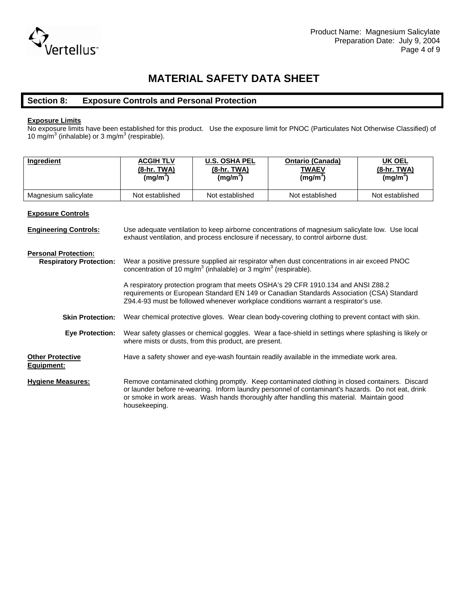

### **Section 8: Exposure Controls and Personal Protection**

#### **Exposure Limits**

No exposure limits have been established for this product. Use the exposure limit for PNOC (Particulates Not Otherwise Classified) of 10 mg/m<sup>3</sup> (inhalable) or 3 mg/m<sup>3</sup> (respirable).

| Ingredient                                                    | <b>ACGIH TLV</b><br>(8-hr. TWA)<br>(mg/m <sup>3</sup> )                                                                                                                                                                                                               | <b>U.S. OSHA PEL</b><br>(8-hr. TWA)<br>(mg/m <sup>3</sup> ) | <b>Ontario (Canada)</b><br><b>TWAEV</b><br>(mg/m <sup>3</sup> )                                                                                                                                                                                                                                    | <b>UK OEL</b><br>(8-hr. TWA)<br>(mg/m <sup>3</sup> ) |  |  |
|---------------------------------------------------------------|-----------------------------------------------------------------------------------------------------------------------------------------------------------------------------------------------------------------------------------------------------------------------|-------------------------------------------------------------|----------------------------------------------------------------------------------------------------------------------------------------------------------------------------------------------------------------------------------------------------------------------------------------------------|------------------------------------------------------|--|--|
| Magnesium salicylate                                          | Not established                                                                                                                                                                                                                                                       | Not established                                             | Not established                                                                                                                                                                                                                                                                                    | Not established                                      |  |  |
| <b>Exposure Controls</b>                                      |                                                                                                                                                                                                                                                                       |                                                             |                                                                                                                                                                                                                                                                                                    |                                                      |  |  |
| <b>Engineering Controls:</b>                                  | Use adequate ventilation to keep airborne concentrations of magnesium salicylate low. Use local<br>exhaust ventilation, and process enclosure if necessary, to control airborne dust.                                                                                 |                                                             |                                                                                                                                                                                                                                                                                                    |                                                      |  |  |
| <b>Personal Protection:</b><br><b>Respiratory Protection:</b> | Wear a positive pressure supplied air respirator when dust concentrations in air exceed PNOC<br>concentration of 10 mg/m <sup>3</sup> (inhalable) or 3 mg/m <sup>3</sup> (respirable).                                                                                |                                                             |                                                                                                                                                                                                                                                                                                    |                                                      |  |  |
|                                                               | A respiratory protection program that meets OSHA's 29 CFR 1910.134 and ANSI Z88.2<br>requirements or European Standard EN 149 or Canadian Standards Association (CSA) Standard<br>Z94.4-93 must be followed whenever workplace conditions warrant a respirator's use. |                                                             |                                                                                                                                                                                                                                                                                                    |                                                      |  |  |
| <b>Skin Protection:</b>                                       | Wear chemical protective gloves. Wear clean body-covering clothing to prevent contact with skin.                                                                                                                                                                      |                                                             |                                                                                                                                                                                                                                                                                                    |                                                      |  |  |
| <b>Eye Protection:</b>                                        | Wear safety glasses or chemical goggles. Wear a face-shield in settings where splashing is likely or<br>where mists or dusts, from this product, are present.                                                                                                         |                                                             |                                                                                                                                                                                                                                                                                                    |                                                      |  |  |
| <b>Other Protective</b><br>Equipment:                         |                                                                                                                                                                                                                                                                       |                                                             | Have a safety shower and eye-wash fountain readily available in the immediate work area.                                                                                                                                                                                                           |                                                      |  |  |
| <b>Hygiene Measures:</b>                                      | housekeeping.                                                                                                                                                                                                                                                         |                                                             | Remove contaminated clothing promptly. Keep contaminated clothing in closed containers. Discard<br>or launder before re-wearing. Inform laundry personnel of contaminant's hazards. Do not eat, drink<br>or smoke in work areas. Wash hands thoroughly after handling this material. Maintain good |                                                      |  |  |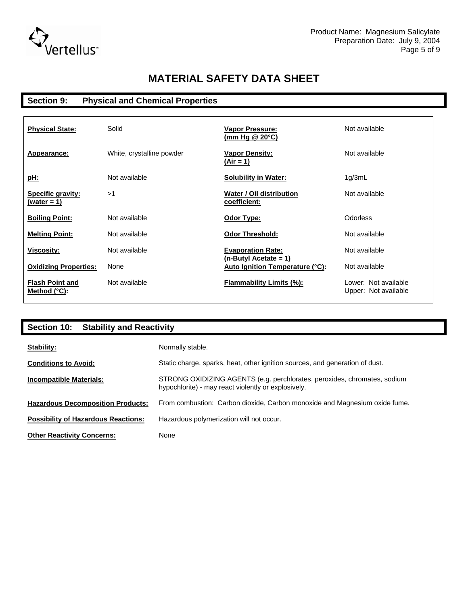

## **Section 9: Physical and Chemical Properties**

| <b>Physical State:</b>                    | Solid                     | <b>Vapor Pressure:</b><br><u>(mm Hg @ 20°C)</u>             | Not available                                |
|-------------------------------------------|---------------------------|-------------------------------------------------------------|----------------------------------------------|
| Appearance:                               | White, crystalline powder | <b>Vapor Density:</b><br>(Air = 1)                          | Not available                                |
| <u>pH:</u>                                | Not available             | <b>Solubility in Water:</b>                                 | 1g/3mL                                       |
| Specific gravity:<br>(water = 1)          | >1                        | Water / Oil distribution<br>coefficient:                    | Not available                                |
| <b>Boiling Point:</b>                     | Not available             | Odor Type:                                                  | Odorless                                     |
| <b>Melting Point:</b>                     | Not available             | Odor Threshold:                                             | Not available                                |
| Viscosity:                                | Not available             | <b>Evaporation Rate:</b>                                    | Not available                                |
| <b>Oxidizing Properties:</b>              | None                      | $(n-ButyI Accitate = 1)$<br>Auto Ignition Temperature (°C): | Not available                                |
| <b>Flash Point and</b><br>Method $(°C)$ : | Not available             | <b>Flammability Limits (%):</b>                             | Lower: Not available<br>Upper: Not available |

| Section 10:<br><b>Stability and Reactivity</b> |                                                                                                                                 |  |  |  |
|------------------------------------------------|---------------------------------------------------------------------------------------------------------------------------------|--|--|--|
| Stability:                                     | Normally stable.                                                                                                                |  |  |  |
| <b>Conditions to Avoid:</b>                    | Static charge, sparks, heat, other ignition sources, and generation of dust.                                                    |  |  |  |
| Incompatible Materials:                        | STRONG OXIDIZING AGENTS (e.g. perchlorates, peroxides, chromates, sodium<br>hypochlorite) - may react violently or explosively. |  |  |  |
| <b>Hazardous Decomposition Products:</b>       | From combustion: Carbon dioxide, Carbon monoxide and Magnesium oxide fume.                                                      |  |  |  |
| <b>Possibility of Hazardous Reactions:</b>     | Hazardous polymerization will not occur.                                                                                        |  |  |  |
| <b>Other Reactivity Concerns:</b>              | None                                                                                                                            |  |  |  |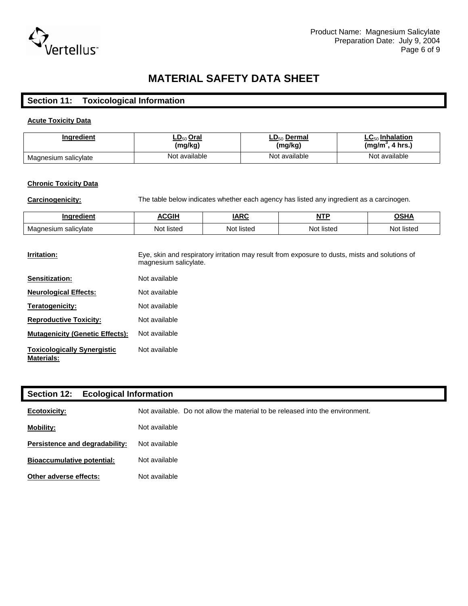

### **Section 11: Toxicological Information**

### **Acute Toxicity Data**

| <b>Inaredient</b>    | LD <sub>50</sub> Oral<br>(mg/kg) | $LD_{50}$ Dermal<br>(mg/kg) | <b>Inhalation</b><br>◠<br>4 hrs.)<br>(mg/m) |
|----------------------|----------------------------------|-----------------------------|---------------------------------------------|
| Magnesium salicylate | Not available                    | Not available               | Not available                               |

### **Chronic Toxicity Data**

**Carcinogenicity:** The table below indicates whether each agency has listed any ingredient as a carcinogen.

| n sendian                   | .GIH          | <b>IARC</b>   | <b>NTP</b> | <u> OSHA</u>   |
|-----------------------------|---------------|---------------|------------|----------------|
| salicvlate<br>Mac<br>nesıur | listec<br>Not | Not<br>listec | t listeo   | Not<br>≒liste∈ |

| Irritation:                                             | Eye, skin and respiratory irritation may result from exposure to dusts, mists and solutions of<br>magnesium salicylate. |
|---------------------------------------------------------|-------------------------------------------------------------------------------------------------------------------------|
| Sensitization:                                          | Not available                                                                                                           |
| <b>Neurological Effects:</b>                            | Not available                                                                                                           |
| Teratogenicity:                                         | Not available                                                                                                           |
| <b>Reproductive Toxicity:</b>                           | Not available                                                                                                           |
| <b>Mutagenicity (Genetic Effects):</b>                  | Not available                                                                                                           |
| <b>Toxicologically Synergistic</b><br><b>Materials:</b> | Not available                                                                                                           |

| <b>Ecological Information</b><br>Section 12: |                                                                               |
|----------------------------------------------|-------------------------------------------------------------------------------|
| <b>Ecotoxicity:</b>                          | Not available. Do not allow the material to be released into the environment. |
| Mobility:                                    | Not available                                                                 |
| Persistence and degradability:               | Not available                                                                 |
| <b>Bioaccumulative potential:</b>            | Not available                                                                 |
| Other adverse effects:                       | Not available                                                                 |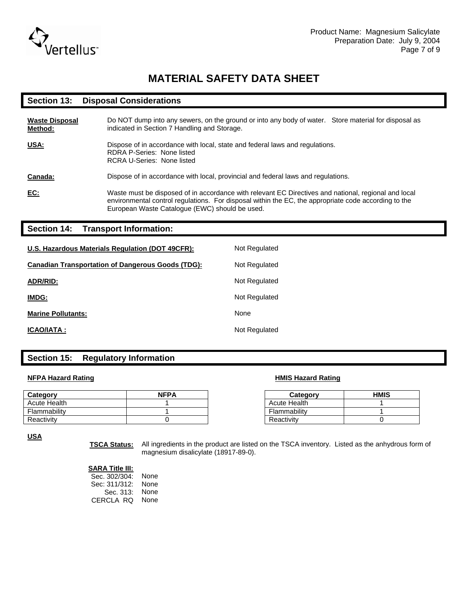

| <b>Section 13:</b>               | <b>Disposal Considerations</b>                                                                                                                                                                                                                                 |
|----------------------------------|----------------------------------------------------------------------------------------------------------------------------------------------------------------------------------------------------------------------------------------------------------------|
| <b>Waste Disposal</b><br>Method: | Do NOT dump into any sewers, on the ground or into any body of water. Store material for disposal as<br>indicated in Section 7 Handling and Storage.                                                                                                           |
| <u>USA:</u>                      | Dispose of in accordance with local, state and federal laws and regulations.<br>RDRA P-Series: None listed<br>RCRA U-Series: None listed                                                                                                                       |
| Canada:                          | Dispose of in accordance with local, provincial and federal laws and regulations.                                                                                                                                                                              |
| EC:                              | Waste must be disposed of in accordance with relevant EC Directives and national, regional and local<br>environmental control regulations. For disposal within the EC, the appropriate code according to the<br>European Waste Catalogue (EWC) should be used. |

### **Section 14: Transport Information:**

| U.S. Hazardous Materials Regulation (DOT 49CFR):         | Not Regulated |
|----------------------------------------------------------|---------------|
| <b>Canadian Transportation of Dangerous Goods (TDG):</b> | Not Regulated |
| ADR/RID:                                                 | Not Regulated |
| <u>IMDG:</u>                                             | Not Regulated |
| <b>Marine Pollutants:</b>                                | None          |
| <b>ICAO/IATA:</b>                                        | Not Regulated |

### **Section 15: Regulatory Information**

| Category     | <b>NFPA</b> | Category            | HMIS |
|--------------|-------------|---------------------|------|
| Acute Health |             | <b>Acute Health</b> |      |
| Flammability |             | Flammability        |      |
| Reactivity   |             | Reactivity          |      |

#### **NFPA Hazard Rating 1986 Manufacture 1986 HMIS Hazard Rating**

| Category            | <b>HMIS</b> |
|---------------------|-------------|
| <b>Acute Health</b> |             |
| Flammability        |             |
| Reactivity          |             |

#### **USA**

**TSCA Status:** All ingredients in the product are listed on the TSCA inventory. Listed as the anhydrous form of magnesium disalicylate (18917-89-0).

### **SARA Title III:**

| Sec. 302/304: | None |
|---------------|------|
| Sec: 311/312: | None |
| Sec. 313:     | None |
| CERCIA RO     | None |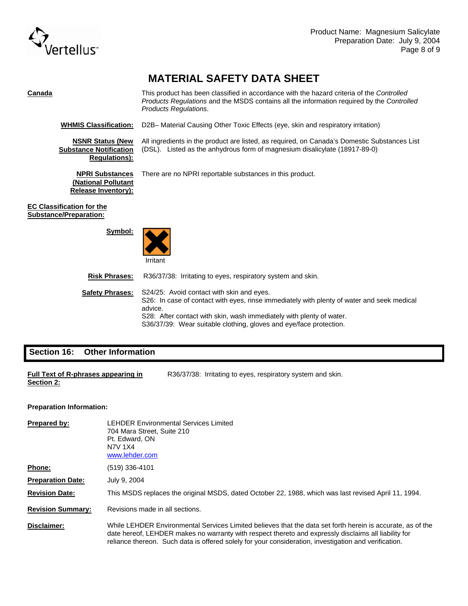

| Canada                                                                           | This product has been classified in accordance with the hazard criteria of the Controlled<br>Products Regulations and the MSDS contains all the information required by the Controlled<br>Products Regulations. |
|----------------------------------------------------------------------------------|-----------------------------------------------------------------------------------------------------------------------------------------------------------------------------------------------------------------|
| <b>WHMIS Classification:</b>                                                     | D2B- Material Causing Other Toxic Effects (eye, skin and respiratory irritation)                                                                                                                                |
| <b>NSNR Status (New</b><br><b>Substance Notification</b><br><b>Regulations):</b> | All ingredients in the product are listed, as required, on Canada's Domestic Substances List<br>(DSL). Listed as the anhydrous form of magnesium disalicylate (18917-89-0)                                      |
| <b>NPRI Substances</b><br>(National Pollutant<br>Release Inventory):             | There are no NPRI reportable substances in this product.                                                                                                                                                        |
| <b>EC Classification for the</b><br><b>Substance/Preparation:</b>                |                                                                                                                                                                                                                 |
| Symbol:                                                                          | Irritant                                                                                                                                                                                                        |
| <b>Risk Phrases:</b>                                                             | R36/37/38: Irritating to eyes, respiratory system and skin.                                                                                                                                                     |
|                                                                                  |                                                                                                                                                                                                                 |

**Safety Phrases:** S24/25: Avoid contact with skin and eyes. S26: In case of contact with eyes, rinse immediately with plenty of water and seek medical advice. S28: After contact with skin, wash immediately with plenty of water. S36/37/39: Wear suitable clothing, gloves and eye/face protection.

### **Section 16: Other Information**

| Full Text of R-phrases appearing in | R36/37/38: Irritating to eyes, respiratory system and skin. |
|-------------------------------------|-------------------------------------------------------------|
| <b>Section 2:</b>                   |                                                             |

#### **Preparation Information:**

| Prepared by:             | <b>LEHDER Environmental Services Limited</b><br>704 Mara Street, Suite 210<br>Pt. Edward. ON<br>N7V 1X4<br>www.lehder.com                                                                                                                                                                                                   |
|--------------------------|-----------------------------------------------------------------------------------------------------------------------------------------------------------------------------------------------------------------------------------------------------------------------------------------------------------------------------|
| Phone:                   | $(519)$ 336-4101                                                                                                                                                                                                                                                                                                            |
| <b>Preparation Date:</b> | July 9, 2004                                                                                                                                                                                                                                                                                                                |
| <b>Revision Date:</b>    | This MSDS replaces the original MSDS, dated October 22, 1988, which was last revised April 11, 1994.                                                                                                                                                                                                                        |
| <b>Revision Summary:</b> | Revisions made in all sections.                                                                                                                                                                                                                                                                                             |
| Disclaimer:              | While LEHDER Environmental Services Limited believes that the data set forth herein is accurate, as of the<br>date hereof, LEHDER makes no warranty with respect thereto and expressly disclaims all liability for<br>reliance thereon. Such data is offered solely for your consideration, investigation and verification. |